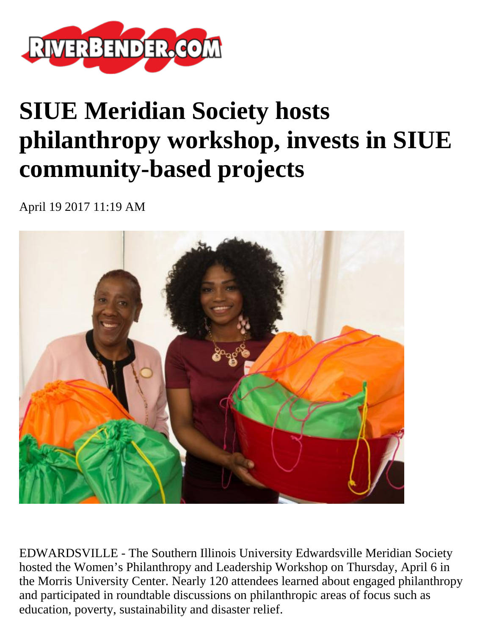

## **SIUE Meridian Society hosts philanthropy workshop, invests in SIUE community-based projects**

April 19 2017 11:19 AM



EDWARDSVILLE - The Southern Illinois University Edwardsville Meridian Society hosted the Women's Philanthropy and Leadership Workshop on Thursday, April 6 in the Morris University Center. Nearly 120 attendees learned about engaged philanthropy and participated in roundtable discussions on philanthropic areas of focus such as education, poverty, sustainability and disaster relief.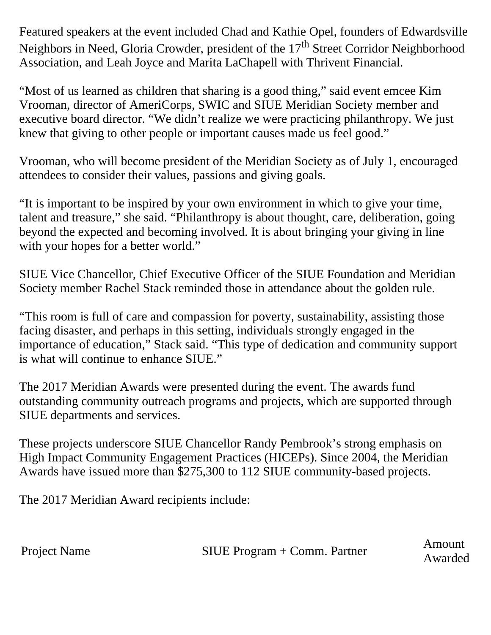Featured speakers at the event included Chad and Kathie Opel, founders of Edwardsville Neighbors in Need, Gloria Crowder, president of the 17<sup>th</sup> Street Corridor Neighborhood Association, and Leah Joyce and Marita LaChapell with Thrivent Financial.

"Most of us learned as children that sharing is a good thing," said event emcee Kim Vrooman, director of AmeriCorps, SWIC and SIUE Meridian Society member and executive board director. "We didn't realize we were practicing philanthropy. We just knew that giving to other people or important causes made us feel good."

Vrooman, who will become president of the Meridian Society as of July 1, encouraged attendees to consider their values, passions and giving goals.

"It is important to be inspired by your own environment in which to give your time, talent and treasure," she said. "Philanthropy is about thought, care, deliberation, going beyond the expected and becoming involved. It is about bringing your giving in line with your hopes for a better world."

SIUE Vice Chancellor, Chief Executive Officer of the SIUE Foundation and Meridian Society member Rachel Stack reminded those in attendance about the golden rule.

"This room is full of care and compassion for poverty, sustainability, assisting those facing disaster, and perhaps in this setting, individuals strongly engaged in the importance of education," Stack said. "This type of dedication and community support is what will continue to enhance SIUE."

The 2017 Meridian Awards were presented during the event. The awards fund outstanding community outreach programs and projects, which are supported through SIUE departments and services.

These projects underscore SIUE Chancellor Randy Pembrook's strong emphasis on High Impact Community Engagement Practices (HICEPs). Since 2004, the Meridian Awards have issued more than \$275,300 to 112 SIUE community-based projects.

The 2017 Meridian Award recipients include:

Project Name SIUE Program + Comm. Partner Amount

Awarded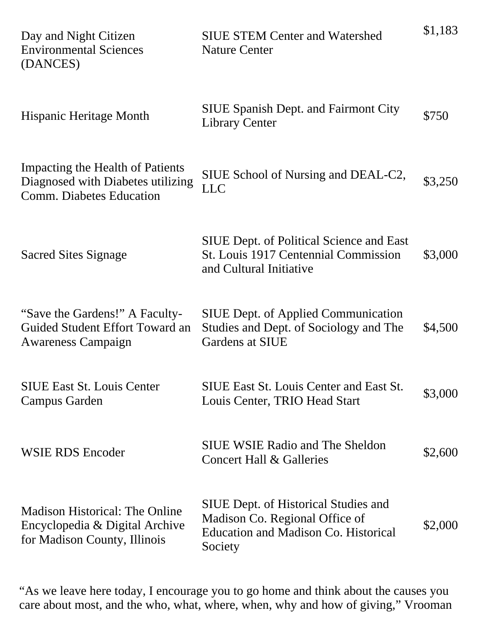| Day and Night Citizen<br><b>Environmental Sciences</b><br>(DANCES)                                      | <b>SIUE STEM Center and Watershed</b><br><b>Nature Center</b>                                                                           | \$1,183 |
|---------------------------------------------------------------------------------------------------------|-----------------------------------------------------------------------------------------------------------------------------------------|---------|
| <b>Hispanic Heritage Month</b>                                                                          | <b>SIUE Spanish Dept. and Fairmont City</b><br><b>Library Center</b>                                                                    | \$750   |
| Impacting the Health of Patients<br>Diagnosed with Diabetes utilizing<br>Comm. Diabetes Education       | SIUE School of Nursing and DEAL-C2,<br><b>LLC</b>                                                                                       | \$3,250 |
| <b>Sacred Sites Signage</b>                                                                             | <b>SIUE Dept. of Political Science and East</b><br>St. Louis 1917 Centennial Commission<br>and Cultural Initiative                      | \$3,000 |
| "Save the Gardens!" A Faculty-<br>Guided Student Effort Toward an<br><b>Awareness Campaign</b>          | <b>SIUE Dept. of Applied Communication</b><br>Studies and Dept. of Sociology and The<br>Gardens at SIUE                                 | \$4,500 |
| <b>SIUE East St. Louis Center</b><br>Campus Garden                                                      | <b>SIUE East St. Louis Center and East St.</b><br>Louis Center, TRIO Head Start                                                         | \$3,000 |
| <b>WSIE RDS Encoder</b>                                                                                 | <b>SIUE WSIE Radio and The Sheldon</b><br><b>Concert Hall &amp; Galleries</b>                                                           | \$2,600 |
| <b>Madison Historical: The Online</b><br>Encyclopedia & Digital Archive<br>for Madison County, Illinois | <b>SIUE Dept. of Historical Studies and</b><br>Madison Co. Regional Office of<br><b>Education and Madison Co. Historical</b><br>Society | \$2,000 |

"As we leave here today, I encourage you to go home and think about the causes you care about most, and the who, what, where, when, why and how of giving," Vrooman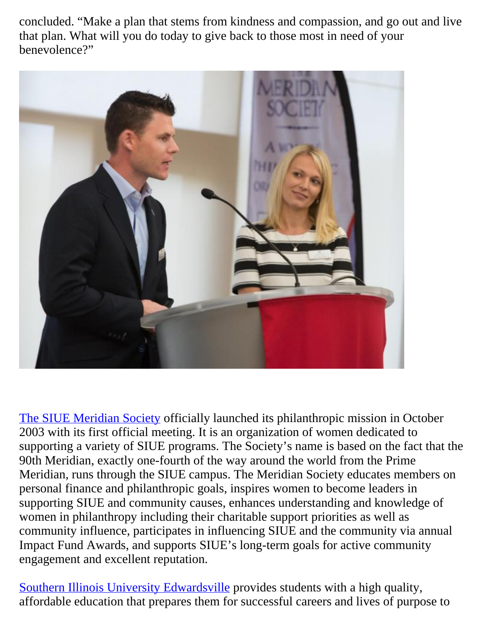concluded. "Make a plan that stems from kindness and compassion, and go out and live that plan. What will you do today to give back to those most in need of your benevolence?"



[The SIUE Meridian Society](http://www.siue.edu/give/meridian/) officially launched its philanthropic mission in October 2003 with its first official meeting. It is an organization of women dedicated to supporting a variety of SIUE programs. The Society's name is based on the fact that the 90th Meridian, exactly one-fourth of the way around the world from the Prime Meridian, runs through the SIUE campus. The Meridian Society educates members on personal finance and philanthropic goals, inspires women to become leaders in supporting SIUE and community causes, enhances understanding and knowledge of women in philanthropy including their charitable support priorities as well as community influence, participates in influencing SIUE and the community via annual Impact Fund Awards, and supports SIUE's long-term goals for active community engagement and excellent reputation.

[Southern Illinois University Edwardsville](http://www.siue.edu/) provides students with a high quality, affordable education that prepares them for successful careers and lives of purpose to